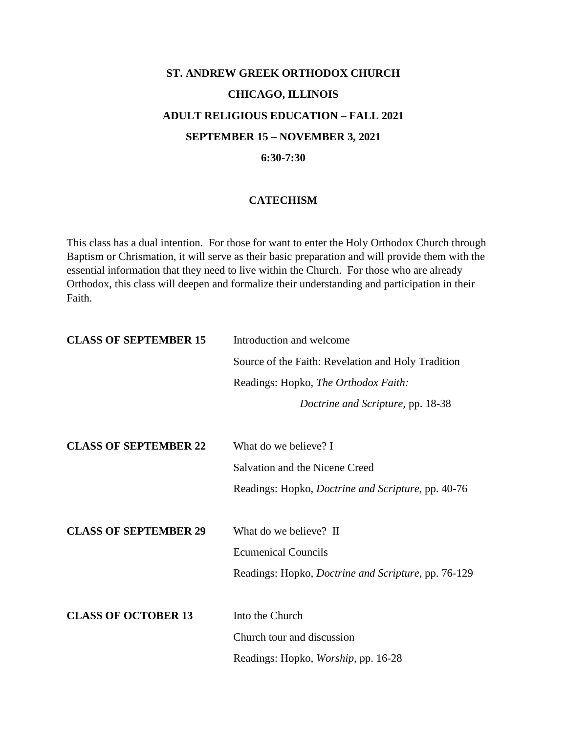## **ST. ANDREW GREEK ORTHODOX CHURCH CHICAGO, ILLINOIS ADULT RELIGIOUS EDUCATION – FALL 2021 SEPTEMBER 15 – NOVEMBER 3, 2021 6:30-7:30**

## **CATECHISM**

This class has a dual intention. For those for want to enter the Holy Orthodox Church through Baptism or Chrismation, it will serve as their basic preparation and will provide them with the essential information that they need to live within the Church. For those who are already Orthodox, this class will deepen and formalize their understanding and participation in their Faith.

| <b>CLASS OF SEPTEMBER 15</b> | Introduction and welcome                                    |
|------------------------------|-------------------------------------------------------------|
|                              | Source of the Faith: Revelation and Holy Tradition          |
|                              | Readings: Hopko, The Orthodox Faith:                        |
|                              | Doctrine and Scripture, pp. 18-38                           |
| <b>CLASS OF SEPTEMBER 22</b> | What do we believe? I                                       |
|                              |                                                             |
|                              | Salvation and the Nicene Creed                              |
|                              | Readings: Hopko, <i>Doctrine and Scripture</i> , pp. 40-76  |
|                              |                                                             |
| <b>CLASS OF SEPTEMBER 29</b> | What do we believe? II                                      |
|                              | <b>Ecumenical Councils</b>                                  |
|                              | Readings: Hopko, <i>Doctrine and Scripture</i> , pp. 76-129 |
|                              |                                                             |
| <b>CLASS OF OCTOBER 13</b>   | Into the Church                                             |
|                              | Church tour and discussion                                  |
|                              | Readings: Hopko, <i>Worship</i> , pp. 16-28                 |